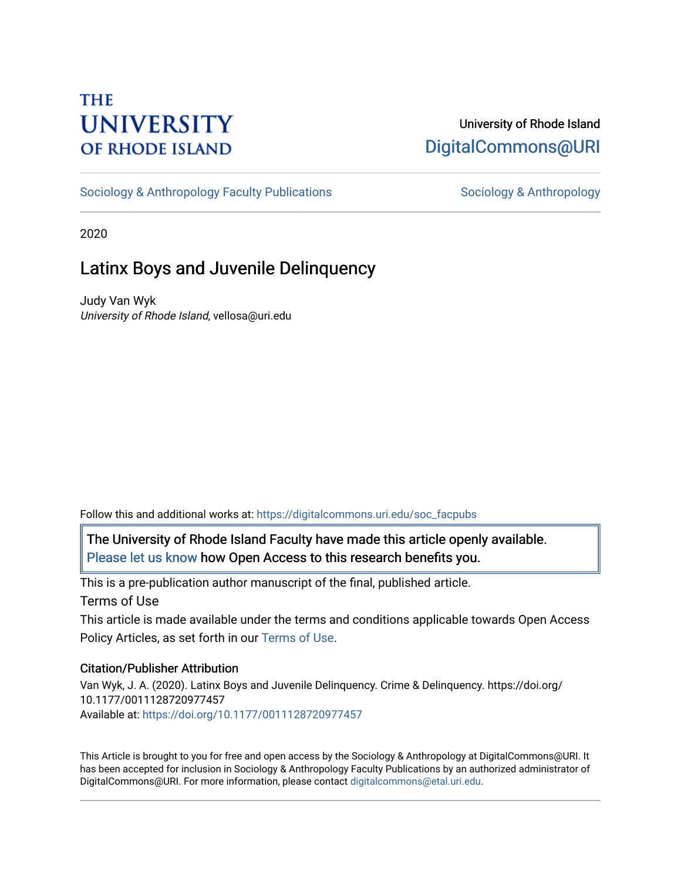# **THE UNIVERSITY OF RHODE ISLAND**

# University of Rhode Island [DigitalCommons@URI](https://digitalcommons.uri.edu/)

[Sociology & Anthropology Faculty Publications](https://digitalcommons.uri.edu/soc_facpubs) [Sociology & Anthropology](https://digitalcommons.uri.edu/soc) & Anthropology

2020

# Latinx Boys and Juvenile Delinquency

Judy Van Wyk University of Rhode Island, vellosa@uri.edu

Follow this and additional works at: [https://digitalcommons.uri.edu/soc\\_facpubs](https://digitalcommons.uri.edu/soc_facpubs?utm_source=digitalcommons.uri.edu%2Fsoc_facpubs%2F40&utm_medium=PDF&utm_campaign=PDFCoverPages) 

The University of Rhode Island Faculty have made this article openly available. [Please let us know](http://web.uri.edu/library-digital-initiatives/open-access-online-form/) how Open Access to this research benefits you.

This is a pre-publication author manuscript of the final, published article.

Terms of Use

This article is made available under the terms and conditions applicable towards Open Access Policy Articles, as set forth in our [Terms of Use](https://digitalcommons.uri.edu/soc_facpubs/oa_policy_terms.html).

# Citation/Publisher Attribution

Van Wyk, J. A. (2020). Latinx Boys and Juvenile Delinquency. Crime & Delinquency. https://doi.org/ 10.1177/0011128720977457 Available at: [https://doi.org/10.1177/0011128720977457](https://doi.org/10.1177%2F0011128720977457) 

This Article is brought to you for free and open access by the Sociology & Anthropology at DigitalCommons@URI. It has been accepted for inclusion in Sociology & Anthropology Faculty Publications by an authorized administrator of DigitalCommons@URI. For more information, please contact [digitalcommons@etal.uri.edu.](mailto:digitalcommons@etal.uri.edu)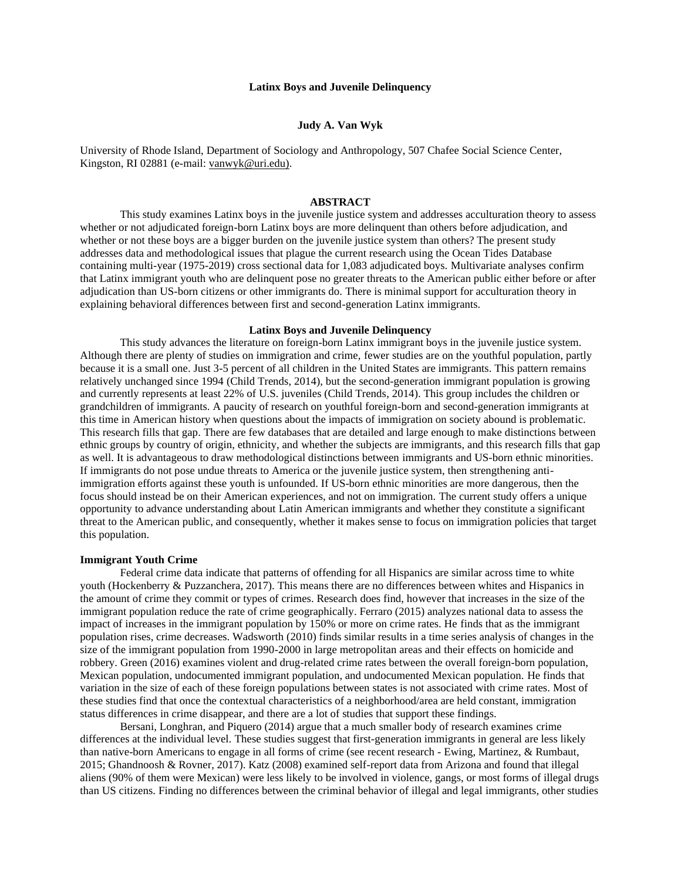#### **Latinx Boys and Juvenile Delinquency**

## **Judy A. Van Wyk**

University of Rhode Island, Department of Sociology and Anthropology, 507 Chafee Social Science Center, Kingston, RI 02881 (e-mail: [vanwyk@uri.edu\)](mailto:vanwyk@uri.edu).

# **ABSTRACT**

This study examines Latinx boys in the juvenile justice system and addresses acculturation theory to assess whether or not adjudicated foreign-born Latinx boys are more delinquent than others before adjudication, and whether or not these boys are a bigger burden on the juvenile justice system than others? The present study addresses data and methodological issues that plague the current research using the Ocean Tides Database containing multi-year (1975-2019) cross sectional data for 1,083 adjudicated boys. Multivariate analyses confirm that Latinx immigrant youth who are delinquent pose no greater threats to the American public either before or after adjudication than US-born citizens or other immigrants do. There is minimal support for acculturation theory in explaining behavioral differences between first and second-generation Latinx immigrants.

# **Latinx Boys and Juvenile Delinquency**

This study advances the literature on foreign-born Latinx immigrant boys in the juvenile justice system. Although there are plenty of studies on immigration and crime, fewer studies are on the youthful population, partly because it is a small one. Just 3-5 percent of all children in the United States are immigrants. This pattern remains relatively unchanged since 1994 (Child Trends, 2014), but the second-generation immigrant population is growing and currently represents at least 22% of U.S. juveniles (Child Trends, 2014). This group includes the children or grandchildren of immigrants. A paucity of research on youthful foreign-born and second-generation immigrants at this time in American history when questions about the impacts of immigration on society abound is problematic. This research fills that gap. There are few databases that are detailed and large enough to make distinctions between ethnic groups by country of origin, ethnicity, and whether the subjects are immigrants, and this research fills that gap as well. It is advantageous to draw methodological distinctions between immigrants and US-born ethnic minorities. If immigrants do not pose undue threats to America or the juvenile justice system, then strengthening antiimmigration efforts against these youth is unfounded. If US-born ethnic minorities are more dangerous, then the focus should instead be on their American experiences, and not on immigration. The current study offers a unique opportunity to advance understanding about Latin American immigrants and whether they constitute a significant threat to the American public, and consequently, whether it makes sense to focus on immigration policies that target this population.

#### **Immigrant Youth Crime**

Federal crime data indicate that patterns of offending for all Hispanics are similar across time to white youth (Hockenberry & Puzzanchera, 2017). This means there are no differences between whites and Hispanics in the amount of crime they commit or types of crimes. Research does find, however that increases in the size of the immigrant population reduce the rate of crime geographically. Ferraro (2015) analyzes national data to assess the impact of increases in the immigrant population by 150% or more on crime rates. He finds that as the immigrant population rises, crime decreases. Wadsworth (2010) finds similar results in a time series analysis of changes in the size of the immigrant population from 1990-2000 in large metropolitan areas and their effects on homicide and robbery. Green (2016) examines violent and drug-related crime rates between the overall foreign-born population, Mexican population, undocumented immigrant population, and undocumented Mexican population. He finds that variation in the size of each of these foreign populations between states is not associated with crime rates. Most of these studies find that once the contextual characteristics of a neighborhood/area are held constant, immigration status differences in crime disappear, and there are a lot of studies that support these findings.

Bersani, Longhran, and Piquero (2014) argue that a much smaller body of research examines crime differences at the individual level. These studies suggest that first-generation immigrants in general are less likely than native-born Americans to engage in all forms of crime (see recent research - Ewing, Martinez, & Rumbaut, 2015; Ghandnoosh & Rovner, 2017). Katz (2008) examined self-report data from Arizona and found that illegal aliens (90% of them were Mexican) were less likely to be involved in violence, gangs, or most forms of illegal drugs than US citizens. Finding no differences between the criminal behavior of illegal and legal immigrants, other studies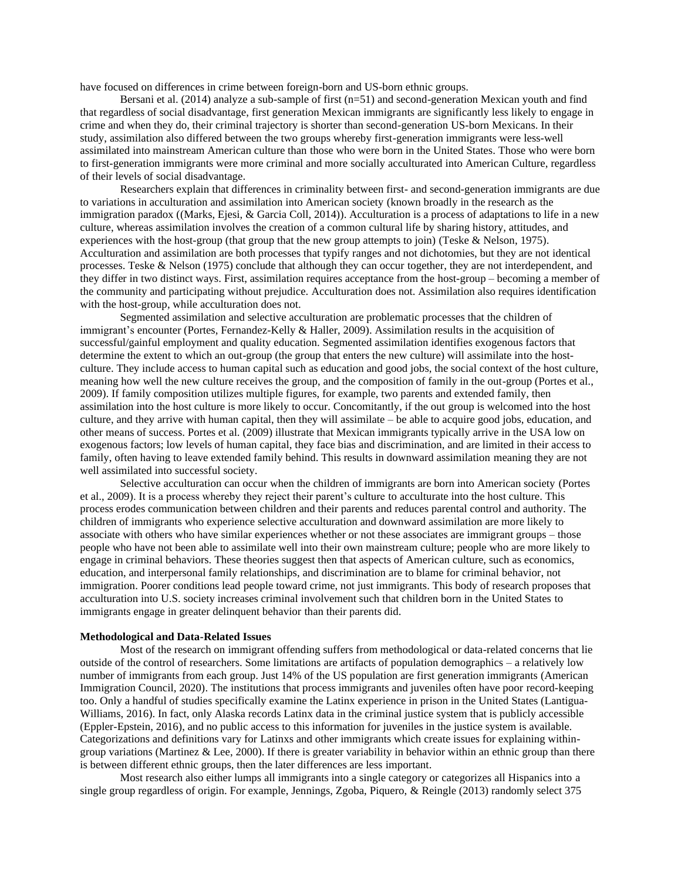have focused on differences in crime between foreign-born and US-born ethnic groups.

Bersani et al. (2014) analyze a sub-sample of first (n=51) and second-generation Mexican youth and find that regardless of social disadvantage, first generation Mexican immigrants are significantly less likely to engage in crime and when they do, their criminal trajectory is shorter than second-generation US-born Mexicans. In their study, assimilation also differed between the two groups whereby first-generation immigrants were less-well assimilated into mainstream American culture than those who were born in the United States. Those who were born to first-generation immigrants were more criminal and more socially acculturated into American Culture, regardless of their levels of social disadvantage.

Researchers explain that differences in criminality between first- and second-generation immigrants are due to variations in acculturation and assimilation into American society (known broadly in the research as the immigration paradox ((Marks, Ejesi, & Garcia Coll, 2014)). Acculturation is a process of adaptations to life in a new culture, whereas assimilation involves the creation of a common cultural life by sharing history, attitudes, and experiences with the host-group (that group that the new group attempts to join) (Teske & Nelson, 1975). Acculturation and assimilation are both processes that typify ranges and not dichotomies, but they are not identical processes. Teske & Nelson (1975) conclude that although they can occur together, they are not interdependent, and they differ in two distinct ways. First, assimilation requires acceptance from the host-group – becoming a member of the community and participating without prejudice. Acculturation does not. Assimilation also requires identification with the host-group, while acculturation does not.

Segmented assimilation and selective acculturation are problematic processes that the children of immigrant's encounter (Portes, Fernandez-Kelly & Haller, 2009). Assimilation results in the acquisition of successful/gainful employment and quality education. Segmented assimilation identifies exogenous factors that determine the extent to which an out-group (the group that enters the new culture) will assimilate into the hostculture. They include access to human capital such as education and good jobs, the social context of the host culture, meaning how well the new culture receives the group, and the composition of family in the out-group (Portes et al., 2009). If family composition utilizes multiple figures, for example, two parents and extended family, then assimilation into the host culture is more likely to occur. Concomitantly, if the out group is welcomed into the host culture, and they arrive with human capital, then they will assimilate – be able to acquire good jobs, education, and other means of success. Portes et al. (2009) illustrate that Mexican immigrants typically arrive in the USA low on exogenous factors; low levels of human capital, they face bias and discrimination, and are limited in their access to family, often having to leave extended family behind. This results in downward assimilation meaning they are not well assimilated into successful society.

Selective acculturation can occur when the children of immigrants are born into American society (Portes et al., 2009). It is a process whereby they reject their parent's culture to acculturate into the host culture. This process erodes communication between children and their parents and reduces parental control and authority. The children of immigrants who experience selective acculturation and downward assimilation are more likely to associate with others who have similar experiences whether or not these associates are immigrant groups – those people who have not been able to assimilate well into their own mainstream culture; people who are more likely to engage in criminal behaviors. These theories suggest then that aspects of American culture, such as economics, education, and interpersonal family relationships, and discrimination are to blame for criminal behavior, not immigration. Poorer conditions lead people toward crime, not just immigrants. This body of research proposes that acculturation into U.S. society increases criminal involvement such that children born in the United States to immigrants engage in greater delinquent behavior than their parents did.

#### **Methodological and Data-Related Issues**

Most of the research on immigrant offending suffers from methodological or data-related concerns that lie outside of the control of researchers. Some limitations are artifacts of population demographics – a relatively low number of immigrants from each group. Just 14% of the US population are first generation immigrants (American Immigration Council, 2020). The institutions that process immigrants and juveniles often have poor record-keeping too. Only a handful of studies specifically examine the Latinx experience in prison in the United States (Lantigua-Williams, 2016). In fact, only Alaska records Latinx data in the criminal justice system that is publicly accessible (Eppler-Epstein, 2016), and no public access to this information for juveniles in the justice system is available. Categorizations and definitions vary for Latinxs and other immigrants which create issues for explaining withingroup variations (Martinez & Lee, 2000). If there is greater variability in behavior within an ethnic group than there is between different ethnic groups, then the later differences are less important.

Most research also either lumps all immigrants into a single category or categorizes all Hispanics into a single group regardless of origin. For example, Jennings, Zgoba, Piquero, & Reingle (2013) randomly select 375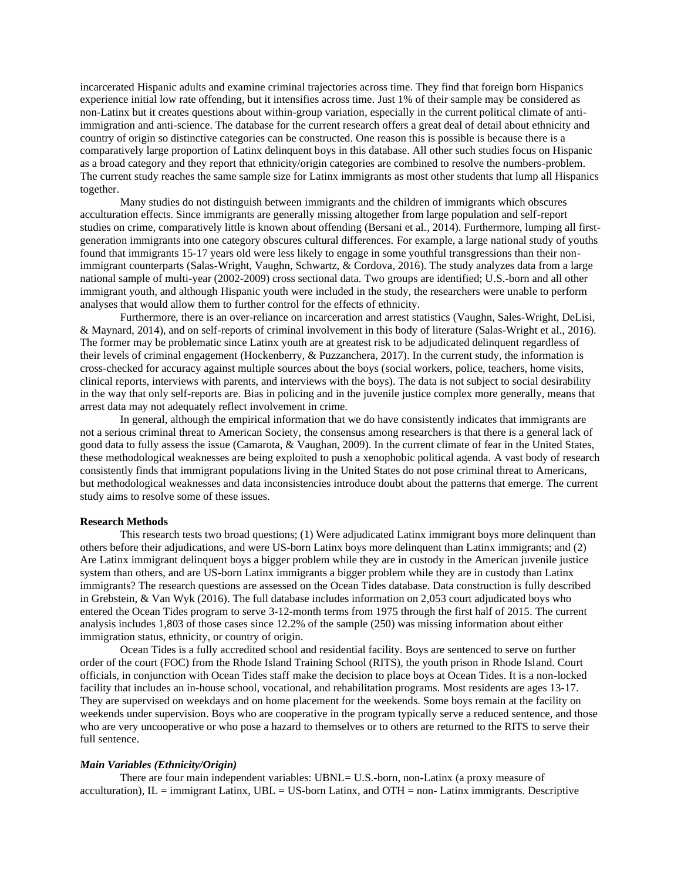incarcerated Hispanic adults and examine criminal trajectories across time. They find that foreign born Hispanics experience initial low rate offending, but it intensifies across time. Just 1% of their sample may be considered as non-Latinx but it creates questions about within-group variation, especially in the current political climate of antiimmigration and anti-science. The database for the current research offers a great deal of detail about ethnicity and country of origin so distinctive categories can be constructed. One reason this is possible is because there is a comparatively large proportion of Latinx delinquent boys in this database. All other such studies focus on Hispanic as a broad category and they report that ethnicity/origin categories are combined to resolve the numbers-problem. The current study reaches the same sample size for Latinx immigrants as most other students that lump all Hispanics together.

Many studies do not distinguish between immigrants and the children of immigrants which obscures acculturation effects. Since immigrants are generally missing altogether from large population and self-report studies on crime, comparatively little is known about offending (Bersani et al., 2014). Furthermore, lumping all firstgeneration immigrants into one category obscures cultural differences. For example, a large national study of youths found that immigrants 15-17 years old were less likely to engage in some youthful transgressions than their nonimmigrant counterparts (Salas-Wright, Vaughn, Schwartz, & Cordova, 2016). The study analyzes data from a large national sample of multi-year (2002-2009) cross sectional data. Two groups are identified; U.S.-born and all other immigrant youth, and although Hispanic youth were included in the study, the researchers were unable to perform analyses that would allow them to further control for the effects of ethnicity.

Furthermore, there is an over-reliance on incarceration and arrest statistics (Vaughn, Sales-Wright, DeLisi, & Maynard, 2014), and on self-reports of criminal involvement in this body of literature (Salas-Wright et al., 2016). The former may be problematic since Latinx youth are at greatest risk to be adjudicated delinquent regardless of their levels of criminal engagement (Hockenberry, & Puzzanchera, 2017). In the current study, the information is cross-checked for accuracy against multiple sources about the boys (social workers, police, teachers, home visits, clinical reports, interviews with parents, and interviews with the boys). The data is not subject to social desirability in the way that only self-reports are. Bias in policing and in the juvenile justice complex more generally, means that arrest data may not adequately reflect involvement in crime.

In general, although the empirical information that we do have consistently indicates that immigrants are not a serious criminal threat to American Society, the consensus among researchers is that there is a general lack of good data to fully assess the issue (Camarota, & Vaughan, 2009). In the current climate of fear in the United States, these methodological weaknesses are being exploited to push a xenophobic political agenda. A vast body of research consistently finds that immigrant populations living in the United States do not pose criminal threat to Americans, but methodological weaknesses and data inconsistencies introduce doubt about the patterns that emerge. The current study aims to resolve some of these issues.

#### **Research Methods**

This research tests two broad questions; (1) Were adjudicated Latinx immigrant boys more delinquent than others before their adjudications, and were US-born Latinx boys more delinquent than Latinx immigrants; and (2) Are Latinx immigrant delinquent boys a bigger problem while they are in custody in the American juvenile justice system than others, and are US-born Latinx immigrants a bigger problem while they are in custody than Latinx immigrants? The research questions are assessed on the Ocean Tides database. Data construction is fully described in Grebstein, & Van Wyk (2016). The full database includes information on 2,053 court adjudicated boys who entered the Ocean Tides program to serve 3-12-month terms from 1975 through the first half of 2015. The current analysis includes 1,803 of those cases since 12.2% of the sample (250) was missing information about either immigration status, ethnicity, or country of origin.

Ocean Tides is a fully accredited school and residential facility. Boys are sentenced to serve on further order of the court (FOC) from the Rhode Island Training School (RITS), the youth prison in Rhode Island. Court officials, in conjunction with Ocean Tides staff make the decision to place boys at Ocean Tides. It is a non-locked facility that includes an in-house school, vocational, and rehabilitation programs. Most residents are ages 13-17. They are supervised on weekdays and on home placement for the weekends. Some boys remain at the facility on weekends under supervision. Boys who are cooperative in the program typically serve a reduced sentence, and those who are very uncooperative or who pose a hazard to themselves or to others are returned to the RITS to serve their full sentence.

#### *Main Variables (Ethnicity/Origin)*

There are four main independent variables: UBNL= U.S.-born, non-Latinx (a proxy measure of acculturation),  $IL = \text{immigrant}$  Latinx,  $UBL = US$ -born Latinx, and  $OTH = \text{non-}$  Latinx immigrants. Descriptive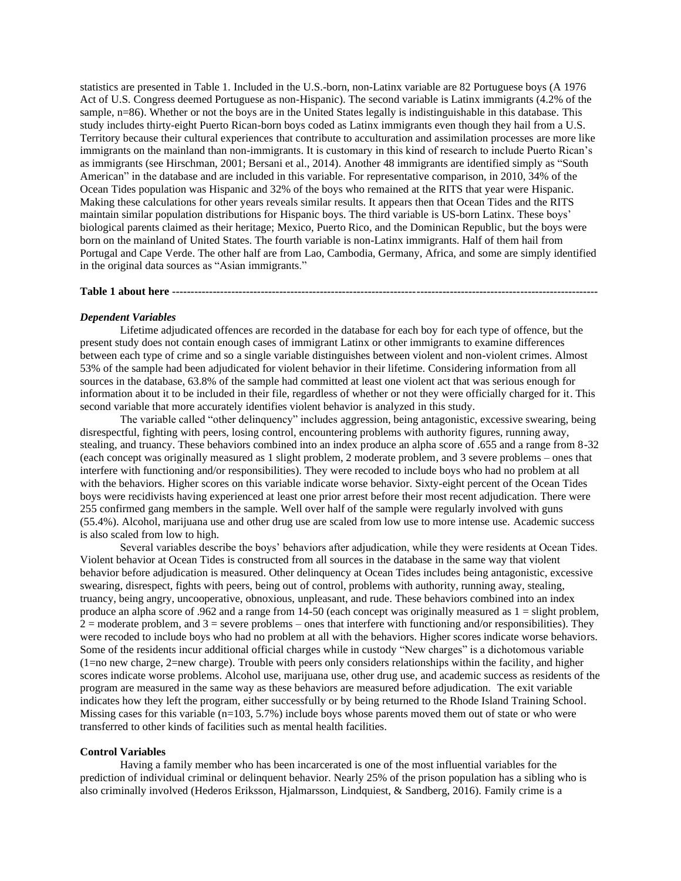statistics are presented in Table 1. Included in the U.S.-born, non-Latinx variable are 82 Portuguese boys (A 1976 Act of U.S. Congress deemed Portuguese as non-Hispanic). The second variable is Latinx immigrants (4.2% of the sample, n=86). Whether or not the boys are in the United States legally is indistinguishable in this database. This study includes thirty-eight Puerto Rican-born boys coded as Latinx immigrants even though they hail from a U.S. Territory because their cultural experiences that contribute to acculturation and assimilation processes are more like immigrants on the mainland than non-immigrants. It is customary in this kind of research to include Puerto Rican's as immigrants (see Hirschman, 2001; Bersani et al., 2014). Another 48 immigrants are identified simply as "South American" in the database and are included in this variable. For representative comparison, in 2010, 34% of the Ocean Tides population was Hispanic and 32% of the boys who remained at the RITS that year were Hispanic. Making these calculations for other years reveals similar results. It appears then that Ocean Tides and the RITS maintain similar population distributions for Hispanic boys. The third variable is US-born Latinx. These boys' biological parents claimed as their heritage; Mexico, Puerto Rico, and the Dominican Republic, but the boys were born on the mainland of United States. The fourth variable is non-Latinx immigrants. Half of them hail from Portugal and Cape Verde. The other half are from Lao, Cambodia, Germany, Africa, and some are simply identified in the original data sources as "Asian immigrants."

# **Table 1 about here -------------------------------------------------------------------------------------------------------------------**

#### *Dependent Variables*

Lifetime adjudicated offences are recorded in the database for each boy for each type of offence, but the present study does not contain enough cases of immigrant Latinx or other immigrants to examine differences between each type of crime and so a single variable distinguishes between violent and non-violent crimes. Almost 53% of the sample had been adjudicated for violent behavior in their lifetime. Considering information from all sources in the database, 63.8% of the sample had committed at least one violent act that was serious enough for information about it to be included in their file, regardless of whether or not they were officially charged for it. This second variable that more accurately identifies violent behavior is analyzed in this study.

The variable called "other delinquency" includes aggression, being antagonistic, excessive swearing, being disrespectful, fighting with peers, losing control, encountering problems with authority figures, running away, stealing, and truancy. These behaviors combined into an index produce an alpha score of .655 and a range from 8-32 (each concept was originally measured as 1 slight problem, 2 moderate problem, and 3 severe problems – ones that interfere with functioning and/or responsibilities). They were recoded to include boys who had no problem at all with the behaviors. Higher scores on this variable indicate worse behavior. Sixty-eight percent of the Ocean Tides boys were recidivists having experienced at least one prior arrest before their most recent adjudication. There were 255 confirmed gang members in the sample. Well over half of the sample were regularly involved with guns (55.4%). Alcohol, marijuana use and other drug use are scaled from low use to more intense use. Academic success is also scaled from low to high.

Several variables describe the boys' behaviors after adjudication, while they were residents at Ocean Tides. Violent behavior at Ocean Tides is constructed from all sources in the database in the same way that violent behavior before adjudication is measured. Other delinquency at Ocean Tides includes being antagonistic, excessive swearing, disrespect, fights with peers, being out of control, problems with authority, running away, stealing, truancy, being angry, uncooperative, obnoxious, unpleasant, and rude. These behaviors combined into an index produce an alpha score of .962 and a range from 14-50 (each concept was originally measured as 1 = slight problem,  $2 =$  moderate problem, and  $3 =$  severe problems – ones that interfere with functioning and/or responsibilities). They were recoded to include boys who had no problem at all with the behaviors. Higher scores indicate worse behaviors. Some of the residents incur additional official charges while in custody "New charges" is a dichotomous variable (1=no new charge, 2=new charge). Trouble with peers only considers relationships within the facility, and higher scores indicate worse problems. Alcohol use, marijuana use, other drug use, and academic success as residents of the program are measured in the same way as these behaviors are measured before adjudication. The exit variable indicates how they left the program, either successfully or by being returned to the Rhode Island Training School. Missing cases for this variable ( $n=103, 5.7\%$ ) include boys whose parents moved them out of state or who were transferred to other kinds of facilities such as mental health facilities.

### **Control Variables**

Having a family member who has been incarcerated is one of the most influential variables for the prediction of individual criminal or delinquent behavior. Nearly 25% of the prison population has a sibling who is also criminally involved (Hederos Eriksson, Hjalmarsson, Lindquiest, & Sandberg, 2016). Family crime is a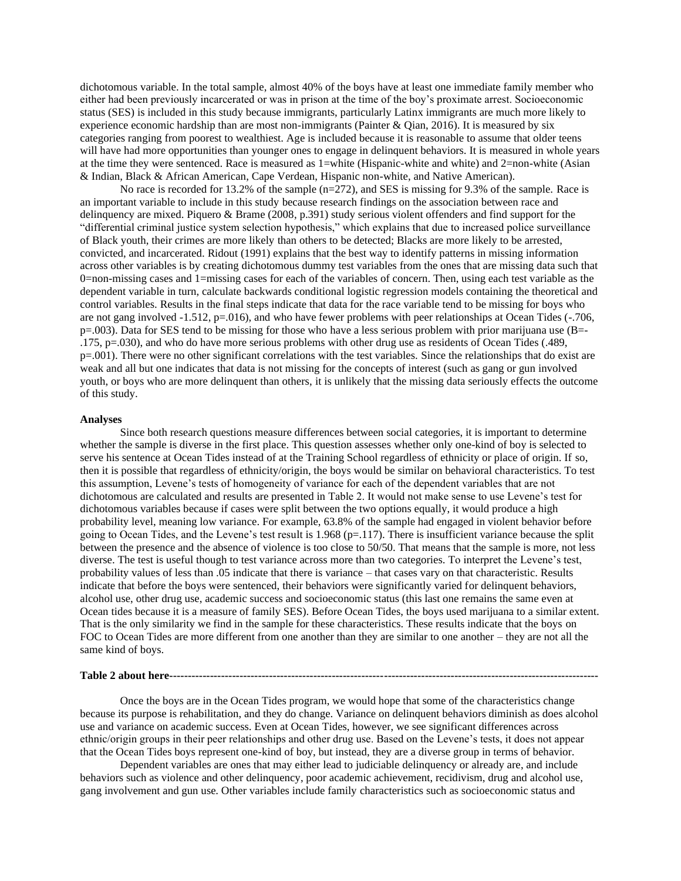dichotomous variable. In the total sample, almost 40% of the boys have at least one immediate family member who either had been previously incarcerated or was in prison at the time of the boy's proximate arrest. Socioeconomic status (SES) is included in this study because immigrants, particularly Latinx immigrants are much more likely to experience economic hardship than are most non-immigrants (Painter & Qian, 2016). It is measured by six categories ranging from poorest to wealthiest. Age is included because it is reasonable to assume that older teens will have had more opportunities than younger ones to engage in delinquent behaviors. It is measured in whole years at the time they were sentenced. Race is measured as 1=white (Hispanic-white and white) and 2=non-white (Asian & Indian, Black & African American, Cape Verdean, Hispanic non-white, and Native American).

No race is recorded for 13.2% of the sample (n=272), and SES is missing for 9.3% of the sample. Race is an important variable to include in this study because research findings on the association between race and delinquency are mixed. Piquero & Brame (2008, p.391) study serious violent offenders and find support for the "differential criminal justice system selection hypothesis," which explains that due to increased police surveillance of Black youth, their crimes are more likely than others to be detected; Blacks are more likely to be arrested, convicted, and incarcerated. Ridout (1991) explains that the best way to identify patterns in missing information across other variables is by creating dichotomous dummy test variables from the ones that are missing data such that 0=non-missing cases and 1=missing cases for each of the variables of concern. Then, using each test variable as the dependent variable in turn, calculate backwards conditional logistic regression models containing the theoretical and control variables. Results in the final steps indicate that data for the race variable tend to be missing for boys who are not gang involved -1.512, p=.016), and who have fewer problems with peer relationships at Ocean Tides (-.706, p=.003). Data for SES tend to be missing for those who have a less serious problem with prior marijuana use (B=- .175, p=.030), and who do have more serious problems with other drug use as residents of Ocean Tides (.489, p=.001). There were no other significant correlations with the test variables. Since the relationships that do exist are weak and all but one indicates that data is not missing for the concepts of interest (such as gang or gun involved youth, or boys who are more delinquent than others, it is unlikely that the missing data seriously effects the outcome of this study.

#### **Analyses**

Since both research questions measure differences between social categories, it is important to determine whether the sample is diverse in the first place. This question assesses whether only one-kind of boy is selected to serve his sentence at Ocean Tides instead of at the Training School regardless of ethnicity or place of origin. If so, then it is possible that regardless of ethnicity/origin, the boys would be similar on behavioral characteristics. To test this assumption, Levene's tests of homogeneity of variance for each of the dependent variables that are not dichotomous are calculated and results are presented in Table 2. It would not make sense to use Levene's test for dichotomous variables because if cases were split between the two options equally, it would produce a high probability level, meaning low variance. For example, 63.8% of the sample had engaged in violent behavior before going to Ocean Tides, and the Levene's test result is  $1.968$  ( $p=117$ ). There is insufficient variance because the split between the presence and the absence of violence is too close to 50/50. That means that the sample is more, not less diverse. The test is useful though to test variance across more than two categories. To interpret the Levene's test, probability values of less than .05 indicate that there is variance – that cases vary on that characteristic. Results indicate that before the boys were sentenced, their behaviors were significantly varied for delinquent behaviors, alcohol use, other drug use, academic success and socioeconomic status (this last one remains the same even at Ocean tides because it is a measure of family SES). Before Ocean Tides, the boys used marijuana to a similar extent. That is the only similarity we find in the sample for these characteristics. These results indicate that the boys on FOC to Ocean Tides are more different from one another than they are similar to one another – they are not all the same kind of boys.

# **Table 2 about here--------------------------------------------------------------------------------------------------------------------**

Once the boys are in the Ocean Tides program, we would hope that some of the characteristics change because its purpose is rehabilitation, and they do change. Variance on delinquent behaviors diminish as does alcohol use and variance on academic success. Even at Ocean Tides, however, we see significant differences across ethnic/origin groups in their peer relationships and other drug use. Based on the Levene's tests, it does not appear that the Ocean Tides boys represent one-kind of boy, but instead, they are a diverse group in terms of behavior.

Dependent variables are ones that may either lead to judiciable delinquency or already are, and include behaviors such as violence and other delinquency, poor academic achievement, recidivism, drug and alcohol use, gang involvement and gun use. Other variables include family characteristics such as socioeconomic status and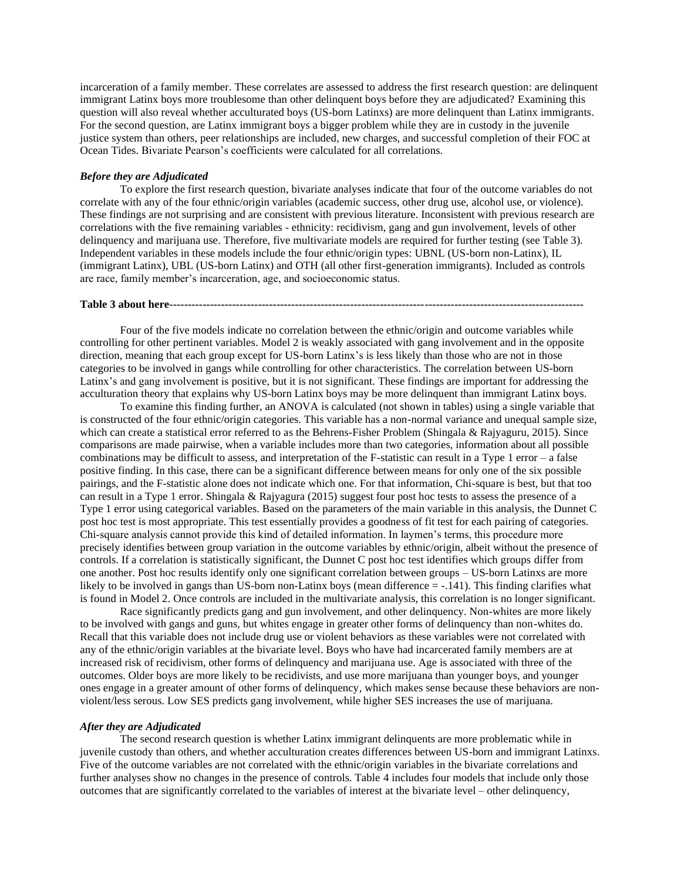incarceration of a family member. These correlates are assessed to address the first research question: are delinquent immigrant Latinx boys more troublesome than other delinquent boys before they are adjudicated? Examining this question will also reveal whether acculturated boys (US-born Latinxs) are more delinquent than Latinx immigrants. For the second question, are Latinx immigrant boys a bigger problem while they are in custody in the juvenile justice system than others, peer relationships are included, new charges, and successful completion of their FOC at Ocean Tides. Bivariate Pearson's coefficients were calculated for all correlations.

### *Before they are Adjudicated*

To explore the first research question, bivariate analyses indicate that four of the outcome variables do not correlate with any of the four ethnic/origin variables (academic success, other drug use, alcohol use, or violence). These findings are not surprising and are consistent with previous literature. Inconsistent with previous research are correlations with the five remaining variables - ethnicity: recidivism, gang and gun involvement, levels of other delinquency and marijuana use. Therefore, five multivariate models are required for further testing (see Table 3). Independent variables in these models include the four ethnic/origin types: UBNL (US-born non-Latinx), IL (immigrant Latinx), UBL (US-born Latinx) and OTH (all other first-generation immigrants). Included as controls are race, family member's incarceration, age, and socioeconomic status.

#### **Table 3 about here----------------------------------------------------------------------------------------------------------------**

Four of the five models indicate no correlation between the ethnic/origin and outcome variables while controlling for other pertinent variables. Model 2 is weakly associated with gang involvement and in the opposite direction, meaning that each group except for US-born Latinx's is less likely than those who are not in those categories to be involved in gangs while controlling for other characteristics. The correlation between US-born Latinx's and gang involvement is positive, but it is not significant. These findings are important for addressing the acculturation theory that explains why US-born Latinx boys may be more delinquent than immigrant Latinx boys.

To examine this finding further, an ANOVA is calculated (not shown in tables) using a single variable that is constructed of the four ethnic/origin categories. This variable has a non-normal variance and unequal sample size, which can create a statistical error referred to as the Behrens-Fisher Problem (Shingala & Rajyaguru, 2015). Since comparisons are made pairwise, when a variable includes more than two categories, information about all possible combinations may be difficult to assess, and interpretation of the F-statistic can result in a Type 1 error – a false positive finding. In this case, there can be a significant difference between means for only one of the six possible pairings, and the F-statistic alone does not indicate which one. For that information, Chi-square is best, but that too can result in a Type 1 error. Shingala & Rajyagura (2015) suggest four post hoc tests to assess the presence of a Type 1 error using categorical variables. Based on the parameters of the main variable in this analysis, the Dunnet C post hoc test is most appropriate. This test essentially provides a goodness of fit test for each pairing of categories. Chi-square analysis cannot provide this kind of detailed information. In laymen's terms, this procedure more precisely identifies between group variation in the outcome variables by ethnic/origin, albeit without the presence of controls. If a correlation is statistically significant, the Dunnet C post hoc test identifies which groups differ from one another. Post hoc results identify only one significant correlation between groups – US-born Latinxs are more likely to be involved in gangs than US-born non-Latinx boys (mean difference = -.141). This finding clarifies what is found in Model 2. Once controls are included in the multivariate analysis, this correlation is no longer significant.

Race significantly predicts gang and gun involvement, and other delinquency. Non-whites are more likely to be involved with gangs and guns, but whites engage in greater other forms of delinquency than non-whites do. Recall that this variable does not include drug use or violent behaviors as these variables were not correlated with any of the ethnic/origin variables at the bivariate level. Boys who have had incarcerated family members are at increased risk of recidivism, other forms of delinquency and marijuana use. Age is associated with three of the outcomes. Older boys are more likely to be recidivists, and use more marijuana than younger boys, and younger ones engage in a greater amount of other forms of delinquency, which makes sense because these behaviors are nonviolent/less serous. Low SES predicts gang involvement, while higher SES increases the use of marijuana.

#### *After they are Adjudicated*

The second research question is whether Latinx immigrant delinquents are more problematic while in juvenile custody than others, and whether acculturation creates differences between US-born and immigrant Latinxs. Five of the outcome variables are not correlated with the ethnic/origin variables in the bivariate correlations and further analyses show no changes in the presence of controls. Table 4 includes four models that include only those outcomes that are significantly correlated to the variables of interest at the bivariate level – other delinquency,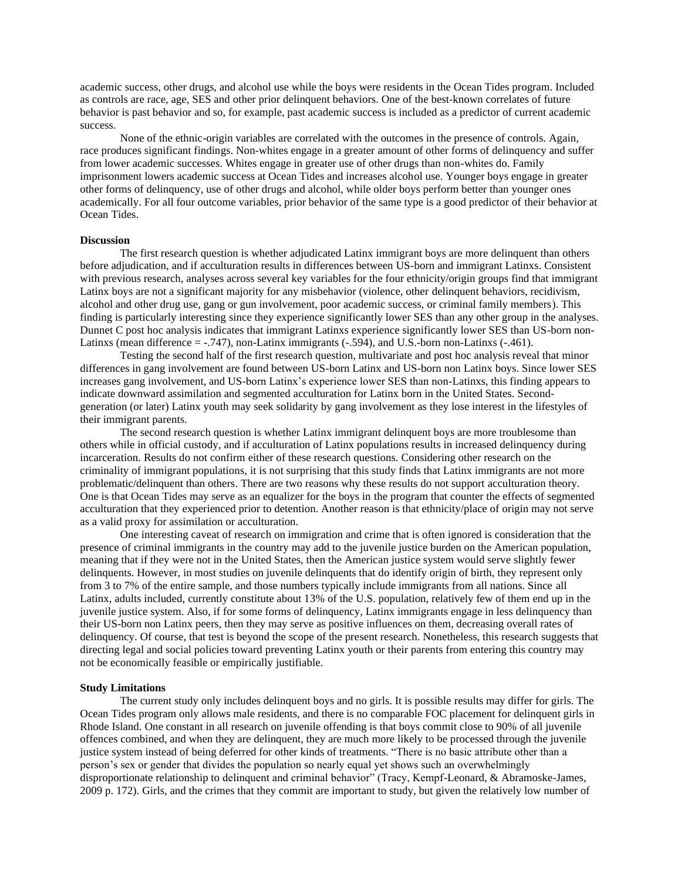academic success, other drugs, and alcohol use while the boys were residents in the Ocean Tides program. Included as controls are race, age, SES and other prior delinquent behaviors. One of the best-known correlates of future behavior is past behavior and so, for example, past academic success is included as a predictor of current academic success.

None of the ethnic-origin variables are correlated with the outcomes in the presence of controls. Again, race produces significant findings. Non-whites engage in a greater amount of other forms of delinquency and suffer from lower academic successes. Whites engage in greater use of other drugs than non-whites do. Family imprisonment lowers academic success at Ocean Tides and increases alcohol use. Younger boys engage in greater other forms of delinquency, use of other drugs and alcohol, while older boys perform better than younger ones academically. For all four outcome variables, prior behavior of the same type is a good predictor of their behavior at Ocean Tides.

#### **Discussion**

The first research question is whether adjudicated Latinx immigrant boys are more delinquent than others before adjudication, and if acculturation results in differences between US-born and immigrant Latinxs. Consistent with previous research, analyses across several key variables for the four ethnicity/origin groups find that immigrant Latinx boys are not a significant majority for any misbehavior (violence, other delinquent behaviors, recidivism, alcohol and other drug use, gang or gun involvement, poor academic success, or criminal family members). This finding is particularly interesting since they experience significantly lower SES than any other group in the analyses. Dunnet C post hoc analysis indicates that immigrant Latinxs experience significantly lower SES than US-born non-Latinxs (mean difference = -.747), non-Latinx immigrants (-.594), and U.S.-born non-Latinxs (-.461).

Testing the second half of the first research question, multivariate and post hoc analysis reveal that minor differences in gang involvement are found between US-born Latinx and US-born non Latinx boys. Since lower SES increases gang involvement, and US-born Latinx's experience lower SES than non-Latinxs, this finding appears to indicate downward assimilation and segmented acculturation for Latinx born in the United States. Secondgeneration (or later) Latinx youth may seek solidarity by gang involvement as they lose interest in the lifestyles of their immigrant parents.

The second research question is whether Latinx immigrant delinquent boys are more troublesome than others while in official custody, and if acculturation of Latinx populations results in increased delinquency during incarceration. Results do not confirm either of these research questions. Considering other research on the criminality of immigrant populations, it is not surprising that this study finds that Latinx immigrants are not more problematic/delinquent than others. There are two reasons why these results do not support acculturation theory. One is that Ocean Tides may serve as an equalizer for the boys in the program that counter the effects of segmented acculturation that they experienced prior to detention. Another reason is that ethnicity/place of origin may not serve as a valid proxy for assimilation or acculturation.

One interesting caveat of research on immigration and crime that is often ignored is consideration that the presence of criminal immigrants in the country may add to the juvenile justice burden on the American population, meaning that if they were not in the United States, then the American justice system would serve slightly fewer delinquents. However, in most studies on juvenile delinquents that do identify origin of birth, they represent only from 3 to 7% of the entire sample, and those numbers typically include immigrants from all nations. Since all Latinx, adults included, currently constitute about 13% of the U.S. population, relatively few of them end up in the juvenile justice system. Also, if for some forms of delinquency, Latinx immigrants engage in less delinquency than their US-born non Latinx peers, then they may serve as positive influences on them, decreasing overall rates of delinquency. Of course, that test is beyond the scope of the present research. Nonetheless, this research suggests that directing legal and social policies toward preventing Latinx youth or their parents from entering this country may not be economically feasible or empirically justifiable.

#### **Study Limitations**

The current study only includes delinquent boys and no girls. It is possible results may differ for girls. The Ocean Tides program only allows male residents, and there is no comparable FOC placement for delinquent girls in Rhode Island. One constant in all research on juvenile offending is that boys commit close to 90% of all juvenile offences combined, and when they are delinquent, they are much more likely to be processed through the juvenile justice system instead of being deferred for other kinds of treatments. "There is no basic attribute other than a person's sex or gender that divides the population so nearly equal yet shows such an overwhelmingly disproportionate relationship to delinquent and criminal behavior" (Tracy, Kempf-Leonard, & Abramoske-James, 2009 p. 172). Girls, and the crimes that they commit are important to study, but given the relatively low number of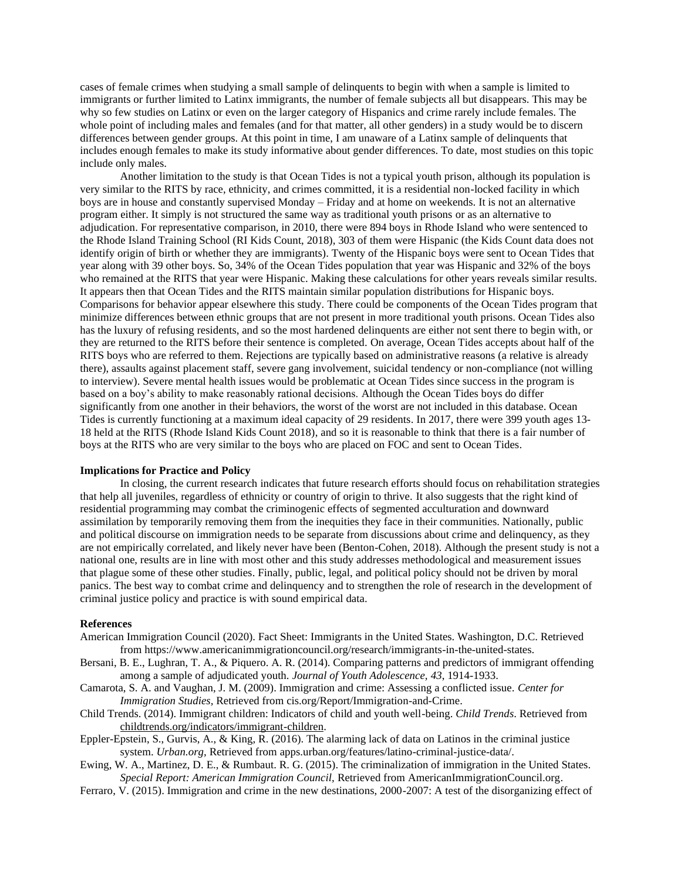cases of female crimes when studying a small sample of delinquents to begin with when a sample is limited to immigrants or further limited to Latinx immigrants, the number of female subjects all but disappears. This may be why so few studies on Latinx or even on the larger category of Hispanics and crime rarely include females. The whole point of including males and females (and for that matter, all other genders) in a study would be to discern differences between gender groups. At this point in time, I am unaware of a Latinx sample of delinquents that includes enough females to make its study informative about gender differences. To date, most studies on this topic include only males.

Another limitation to the study is that Ocean Tides is not a typical youth prison, although its population is very similar to the RITS by race, ethnicity, and crimes committed, it is a residential non-locked facility in which boys are in house and constantly supervised Monday – Friday and at home on weekends. It is not an alternative program either. It simply is not structured the same way as traditional youth prisons or as an alternative to adjudication. For representative comparison, in 2010, there were 894 boys in Rhode Island who were sentenced to the Rhode Island Training School (RI Kids Count, 2018), 303 of them were Hispanic (the Kids Count data does not identify origin of birth or whether they are immigrants). Twenty of the Hispanic boys were sent to Ocean Tides that year along with 39 other boys. So, 34% of the Ocean Tides population that year was Hispanic and 32% of the boys who remained at the RITS that year were Hispanic. Making these calculations for other years reveals similar results. It appears then that Ocean Tides and the RITS maintain similar population distributions for Hispanic boys. Comparisons for behavior appear elsewhere this study. There could be components of the Ocean Tides program that minimize differences between ethnic groups that are not present in more traditional youth prisons. Ocean Tides also has the luxury of refusing residents, and so the most hardened delinquents are either not sent there to begin with, or they are returned to the RITS before their sentence is completed. On average, Ocean Tides accepts about half of the RITS boys who are referred to them. Rejections are typically based on administrative reasons (a relative is already there), assaults against placement staff, severe gang involvement, suicidal tendency or non-compliance (not willing to interview). Severe mental health issues would be problematic at Ocean Tides since success in the program is based on a boy's ability to make reasonably rational decisions. Although the Ocean Tides boys do differ significantly from one another in their behaviors, the worst of the worst are not included in this database. Ocean Tides is currently functioning at a maximum ideal capacity of 29 residents. In 2017, there were 399 youth ages 13- 18 held at the RITS (Rhode Island Kids Count 2018), and so it is reasonable to think that there is a fair number of boys at the RITS who are very similar to the boys who are placed on FOC and sent to Ocean Tides.

# **Implications for Practice and Policy**

In closing, the current research indicates that future research efforts should focus on rehabilitation strategies that help all juveniles, regardless of ethnicity or country of origin to thrive. It also suggests that the right kind of residential programming may combat the criminogenic effects of segmented acculturation and downward assimilation by temporarily removing them from the inequities they face in their communities. Nationally, public and political discourse on immigration needs to be separate from discussions about crime and delinquency, as they are not empirically correlated, and likely never have been (Benton-Cohen, 2018). Although the present study is not a national one, results are in line with most other and this study addresses methodological and measurement issues that plague some of these other studies. Finally, public, legal, and political policy should not be driven by moral panics. The best way to combat crime and delinquency and to strengthen the role of research in the development of criminal justice policy and practice is with sound empirical data.

#### **References**

- American Immigration Council (2020). Fact Sheet: Immigrants in the United States. Washington, D.C. Retrieved from https://www.americanimmigrationcouncil.org/research/immigrants-in-the-united-states.
- Bersani, B. E., Lughran, T. A., & Piquero. A. R. (2014). Comparing patterns and predictors of immigrant offending among a sample of adjudicated youth. *Journal of Youth Adolescence, 43*, 1914-1933.
- Camarota, S. A. and Vaughan, J. M. (2009). Immigration and crime: Assessing a conflicted issue. *Center for Immigration Studies,* Retrieved fro[m cis.org/Report/Immigration-and-Crime.](https://cis.org/Report/Immigration-and-Crime)
- Child Trends. (2014). Immigrant children: Indicators of child and youth well-being. *Child Trends*. Retrieved from [childtrends.org/indicators/immigrant-children.](https://www.childtrends.org/indicators/immigrant-children)
- Eppler-Epstein, S., Gurvis, A., & King, R. (2016). The alarming lack of data on Latinos in the criminal justice system. *Urban.org,* Retrieved fro[m apps.urban.org/features/latino-criminal-justice-data/.](http://apps.urban.org/features/latino-criminal-justice-data/)
- Ewing, W. A., Martinez, D. E., & Rumbaut. R. G. (2015). The criminalization of immigration in the United States. *Special Report: American Immigration Council,* Retrieved from [AmericanImmigrationCouncil.org.](http://www.americanimmigrationcouncil.org/)
- Ferraro, V. (2015). Immigration and crime in the new destinations, 2000-2007: A test of the disorganizing effect of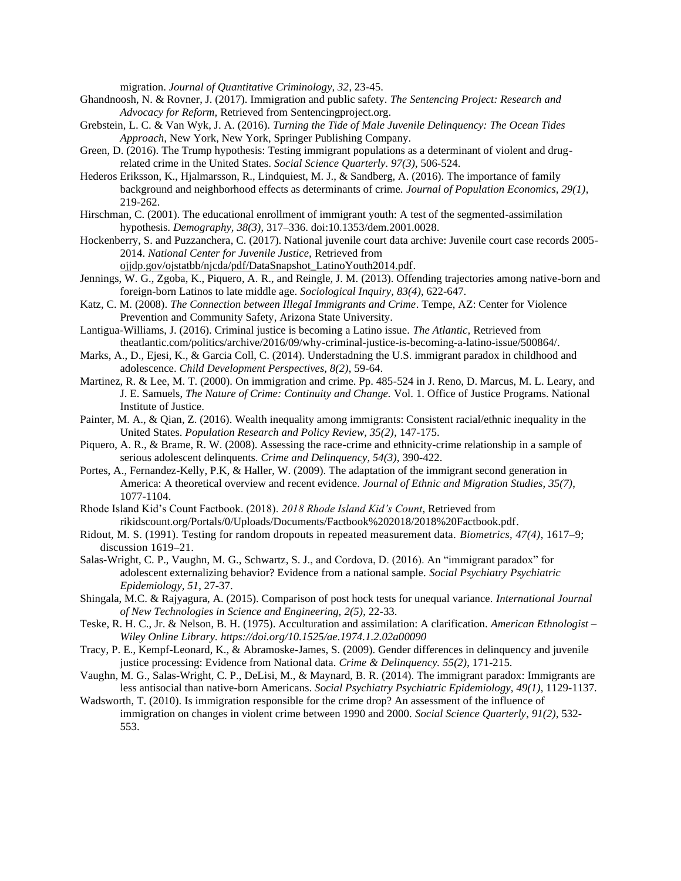migration. *Journal of Quantitative Criminology, 32*, 23-45.

- Ghandnoosh, N. & Rovner, J. (2017). Immigration and public safety. *The Sentencing Project: Research and Advocacy for Reform,* Retrieved from [Sentencingproject.org.](http://www.sentencingproject.org/)
- Grebstein, L. C. & Van Wyk, J. A. (2016). *Turning the Tide of Male Juvenile Delinquency: The Ocean Tides Approach,* New York, New York, Springer Publishing Company.
- Green, D. (2016). The Trump hypothesis: Testing immigrant populations as a determinant of violent and drugrelated crime in the United States. *Social Science Quarterly*. *97(3)*, 506-524.
- Hederos Eriksson, K., Hjalmarsson, R., Lindquiest, M. J., & Sandberg, A. (2016). The importance of family background and neighborhood effects as determinants of crime. *Journal of Population Economics, 29(1)*, 219-262.
- Hirschman, C. (2001). The educational enrollment of immigrant youth: A test of the segmented-assimilation hypothesis. *Demography, 38(3)*, 317–336. doi:10.1353/dem.2001.0028.
- Hockenberry, S. and Puzzanchera, C. (2017). National juvenile court data archive: Juvenile court case records 2005- 2014. *National Center for Juvenile Justice,* Retrieved from
- [ojjdp.gov/ojstatbb/njcda/pdf/DataSnapshot\\_LatinoYouth2014.pdf.](https://www.ojjdp.gov/ojstatbb/njcda/pdf/DataSnapshot_HispanicYouth2014.pdf)  Jennings, W. G., Zgoba, K., Piquero, A. R., and Reingle, J. M. (2013). Offending trajectories among native-born and foreign-born Latinos to late middle age. *Sociological Inquiry, 83(4)*, 622-647.
- Katz, C. M. (2008). *The Connection between Illegal Immigrants and Crime*. Tempe, AZ: Center for Violence Prevention and Community Safety, Arizona State University.
- Lantigua-Williams, J. (2016). Criminal justice is becoming a Latino issue. *The Atlantic,* Retrieved from [theatlantic.com/politics/archive/2016/09/why-criminal-justice-is-becoming-a-latino-issue/500864/.](https://www.theatlantic.com/politics/archive/2016/09/why-criminal-justice-is-becoming-a-latino-issue/500864/)
- Marks, A., D., Ejesi, K., & Garcia Coll, C. (2014). Understadning the U.S. immigrant paradox in childhood and adolescence. *Child Development Perspectives, 8(2)*, 59-64.
- Martinez, R. & Lee, M. T. (2000). On immigration and crime. Pp. 485-524 in J. Reno, D. Marcus, M. L. Leary, and J. E. Samuels, *The Nature of Crime: Continuity and Change.* Vol. 1. Office of Justice Programs. National Institute of Justice.
- Painter, M. A., & Qian, Z. (2016). Wealth inequality among immigrants: Consistent racial/ethnic inequality in the United States. *Population Research and Policy Review, 35(2)*, 147-175.
- Piquero, A. R., & Brame, R. W. (2008). Assessing the race-crime and ethnicity-crime relationship in a sample of serious adolescent delinquents. *Crime and Delinquency, 54(3),* 390-422.
- Portes, A., Fernandez-Kelly, P.K, & Haller, W. (2009). The adaptation of the immigrant second generation in America: A theoretical overview and recent evidence. *Journal of Ethnic and Migration Studies, 35(7)*, 1077-1104.
- Rhode Island Kid's Count Factbook. (2018). *2018 Rhode Island Kid's Count*, Retrieved from [rikidscount.org/Portals/0/Uploads/Documents/Factbook%202018/2018%20Factbook.pdf.](http://www.rikidscount.org/Portals/0/Uploads/Documents/Factbook%202018/2018%20Factbook.pdf)
- Ridout, M. S. (1991). Testing for random dropouts in repeated measurement data. *Biometrics, 47(4)*, 1617–9; discussion 1619–21.
- Salas-Wright, C. P., Vaughn, M. G., Schwartz, S. J., and Cordova, D. (2016). An "immigrant paradox" for adolescent externalizing behavior? Evidence from a national sample. *Social Psychiatry Psychiatric Epidemiology, 51*, 27-37.
- Shingala, M.C. & Rajyagura, A. (2015). Comparison of post hock tests for unequal variance. *International Journal of New Technologies in Science and Engineering, 2(5)*, 22-33.
- Teske, R. H. C., Jr. & Nelson, B. H. (1975). Acculturation and assimilation: A clarification. *American Ethnologist – Wiley Online Library. https://doi.org/10.1525/ae.1974.1.2.02a00090*
- Tracy, P. E., Kempf-Leonard, K., & Abramoske-James, S. (2009). Gender differences in delinquency and juvenile justice processing: Evidence from National data. *Crime & Delinquency. 55(2)*, 171-215.
- Vaughn, M. G., Salas-Wright, C. P., DeLisi, M., & Maynard, B. R. (2014). The immigrant paradox: Immigrants are less antisocial than native-born Americans. *Social Psychiatry Psychiatric Epidemiology, 49(1)*, 1129-1137.
- Wadsworth, T. (2010). Is immigration responsible for the crime drop? An assessment of the influence of immigration on changes in violent crime between 1990 and 2000. *Social Science Quarterly*, *91(2)*, 532- 553.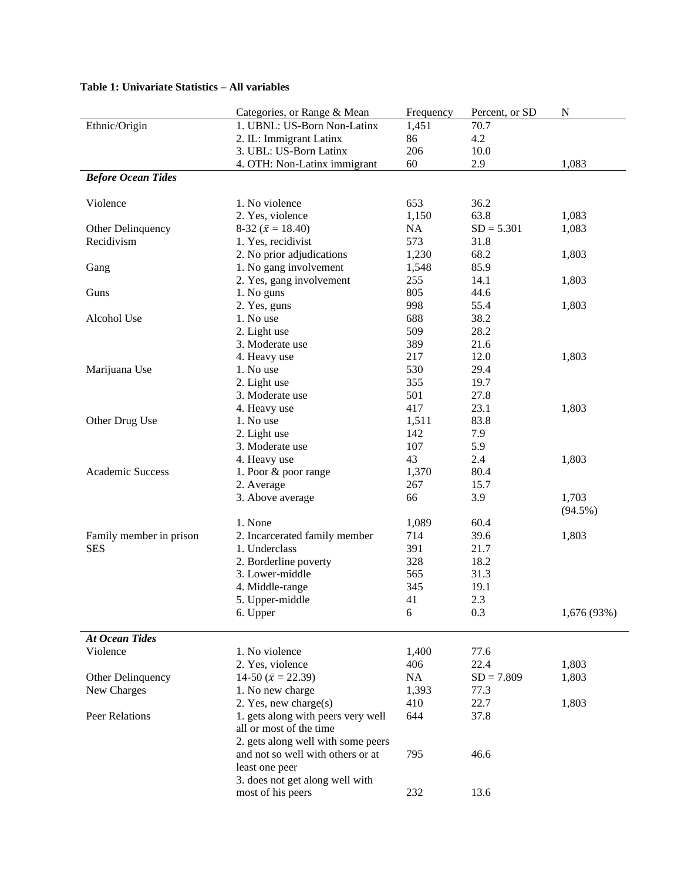# **Table 1: Univariate Statistics – All variables**

|                           | Categories, or Range & Mean                                   | Frequency | Percent, or SD | N           |
|---------------------------|---------------------------------------------------------------|-----------|----------------|-------------|
| Ethnic/Origin             | 1. UBNL: US-Born Non-Latinx                                   | 1,451     | 70.7           |             |
|                           | 2. IL: Immigrant Latinx                                       | 86        | 4.2            |             |
|                           | 3. UBL: US-Born Latinx                                        | 206       | 10.0           |             |
|                           | 4. OTH: Non-Latinx immigrant                                  | 60        | 2.9            | 1,083       |
| <b>Before Ocean Tides</b> |                                                               |           |                |             |
| Violence                  | 1. No violence                                                | 653       | 36.2           |             |
|                           | 2. Yes, violence                                              | 1,150     | 63.8           | 1,083       |
| Other Delinquency         | 8-32 ( $\bar{x}$ = 18.40)                                     | NA        | $SD = 5.301$   | 1,083       |
| Recidivism                | 1. Yes, recidivist                                            | 573       | 31.8           |             |
|                           | 2. No prior adjudications                                     | 1,230     | 68.2           | 1,803       |
| Gang                      | 1. No gang involvement                                        | 1,548     | 85.9           |             |
|                           | 2. Yes, gang involvement                                      | 255       | 14.1           | 1,803       |
| Guns                      | 1. No guns                                                    | 805       | 44.6           |             |
|                           | 2. Yes, guns                                                  | 998       | 55.4           | 1,803       |
| Alcohol Use               | 1. No use                                                     | 688       | 38.2           |             |
|                           | 2. Light use                                                  | 509       | 28.2           |             |
|                           | 3. Moderate use                                               | 389       | 21.6           |             |
|                           | 4. Heavy use                                                  | 217       | 12.0           | 1,803       |
| Marijuana Use             | 1. No use                                                     | 530       | 29.4           |             |
|                           | 2. Light use                                                  | 355       | 19.7           |             |
|                           | 3. Moderate use                                               | 501       | 27.8           |             |
|                           | 4. Heavy use                                                  | 417       | 23.1           | 1,803       |
| Other Drug Use            | 1. No use                                                     | 1,511     | 83.8           |             |
|                           | 2. Light use                                                  | 142       | 7.9            |             |
|                           | 3. Moderate use                                               | 107       | 5.9            |             |
|                           | 4. Heavy use                                                  | 43        | 2.4            | 1,803       |
| Academic Success          | 1. Poor & poor range                                          | 1,370     | 80.4           |             |
|                           | 2. Average                                                    | 267       | 15.7           |             |
|                           | 3. Above average                                              | 66        | 3.9            | 1,703       |
|                           |                                                               |           |                | $(94.5\%)$  |
|                           | 1. None                                                       | 1,089     | 60.4           |             |
| Family member in prison   | 2. Incarcerated family member                                 | 714       | 39.6           | 1,803       |
| <b>SES</b>                | 1. Underclass                                                 | 391       | 21.7           |             |
|                           | 2. Borderline poverty                                         | 328       | 18.2           |             |
|                           | 3. Lower-middle                                               | 565       | 31.3           |             |
|                           | 4. Middle-range                                               | 345       | 19.1           |             |
|                           | 5. Upper-middle                                               | 41        | 2.3            |             |
|                           | 6. Upper                                                      | 6         | 0.3            | 1,676 (93%) |
| <b>At Ocean Tides</b>     |                                                               |           |                |             |
| Violence                  | 1. No violence                                                | 1,400     | 77.6           |             |
|                           | 2. Yes, violence                                              | 406       | 22.4           | 1,803       |
| Other Delinquency         | 14-50 $(\bar{x} = 22.39)$                                     | NA        | $SD = 7.809$   | 1,803       |
| New Charges               | 1. No new charge                                              | 1,393     | 77.3           |             |
|                           | 2. Yes, new charge(s)                                         | 410       | 22.7           | 1,803       |
| Peer Relations            | 1. gets along with peers very well<br>all or most of the time | 644       | 37.8           |             |
|                           | 2. gets along well with some peers                            |           |                |             |
|                           | and not so well with others or at                             | 795       | 46.6           |             |
|                           | least one peer                                                |           |                |             |
|                           | 3. does not get along well with                               |           |                |             |
|                           | most of his peers                                             | 232       | 13.6           |             |
|                           |                                                               |           |                |             |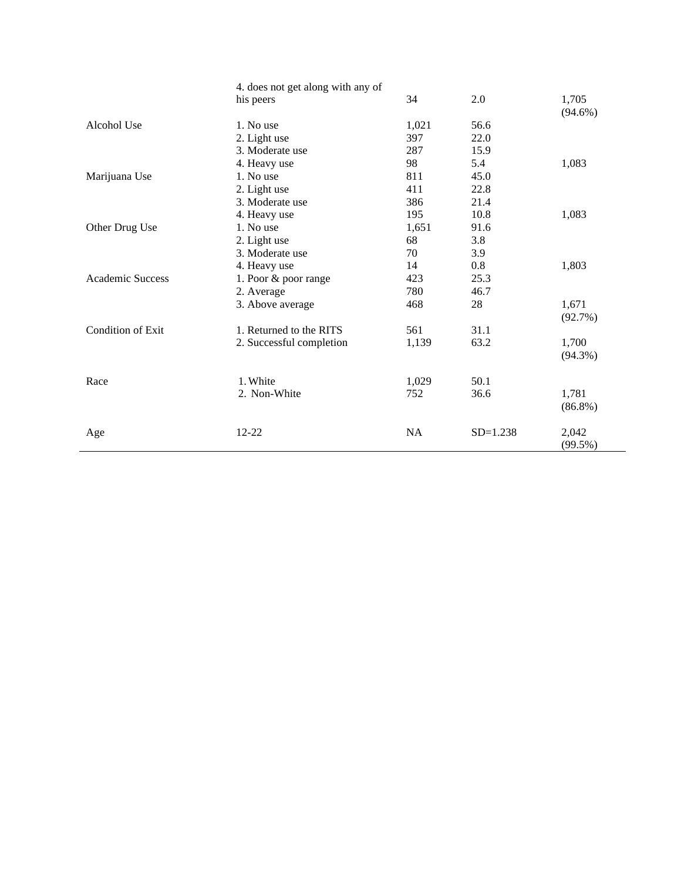|                   | 4. does not get along with any of |           |            |                     |
|-------------------|-----------------------------------|-----------|------------|---------------------|
|                   | his peers                         | 34        | 2.0        | 1,705<br>$(94.6\%)$ |
| Alcohol Use       | 1. No use                         | 1,021     | 56.6       |                     |
|                   | 2. Light use                      | 397       | 22.0       |                     |
|                   | 3. Moderate use                   | 287       | 15.9       |                     |
|                   | 4. Heavy use                      | 98        | 5.4        | 1,083               |
| Marijuana Use     | 1. No use                         | 811       | 45.0       |                     |
|                   | 2. Light use                      | 411       | 22.8       |                     |
|                   | 3. Moderate use                   | 386       | 21.4       |                     |
|                   | 4. Heavy use                      | 195       | 10.8       | 1,083               |
| Other Drug Use    | 1. No use                         | 1,651     | 91.6       |                     |
|                   | 2. Light use                      | 68        | 3.8        |                     |
|                   | 3. Moderate use                   | 70        | 3.9        |                     |
|                   | 4. Heavy use                      | 14        | 0.8        | 1,803               |
| Academic Success  | 1. Poor & poor range              | 423       | 25.3       |                     |
|                   | 2. Average                        | 780       | 46.7       |                     |
|                   | 3. Above average                  | 468       | 28         | 1,671<br>(92.7%)    |
| Condition of Exit | 1. Returned to the RITS           | 561       | 31.1       |                     |
|                   | 2. Successful completion          | 1,139     | 63.2       | 1,700<br>$(94.3\%)$ |
| Race              | 1. White                          | 1,029     | 50.1       |                     |
|                   | 2. Non-White                      | 752       | 36.6       | 1,781<br>$(86.8\%)$ |
| Age               | $12 - 22$                         | <b>NA</b> | $SD=1.238$ | 2,042<br>(99.5%)    |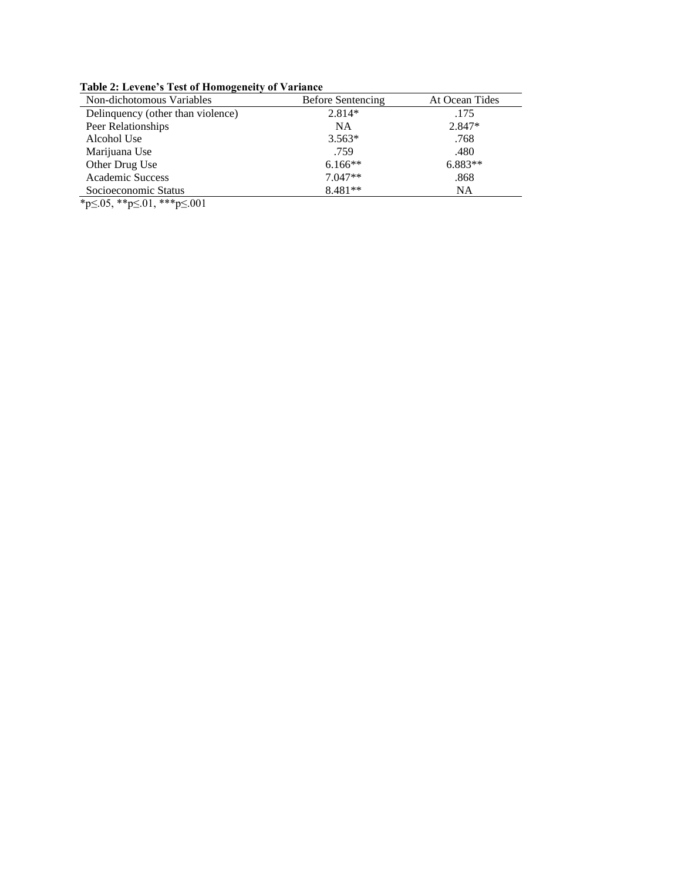| Non-dichotomous Variables         | Before Sentencing | At Ocean Tides |  |
|-----------------------------------|-------------------|----------------|--|
| Delinquency (other than violence) | 2.814*            | .175           |  |
| Peer Relationships                | <b>NA</b>         | 2.847*         |  |
| Alcohol Use                       | $3.563*$          | .768           |  |
| Marijuana Use                     | .759              | .480           |  |
| Other Drug Use                    | $6.166**$         | $6.883**$      |  |
| <b>Academic Success</b>           | $7.047**$         | .868           |  |
| Socioeconomic Status              | $8.481**$         | NA             |  |

**Table 2: Levene's Test of Homogeneity of Variance** 

\*p≤.05, \*\*p≤.01, \*\*\*p≤.001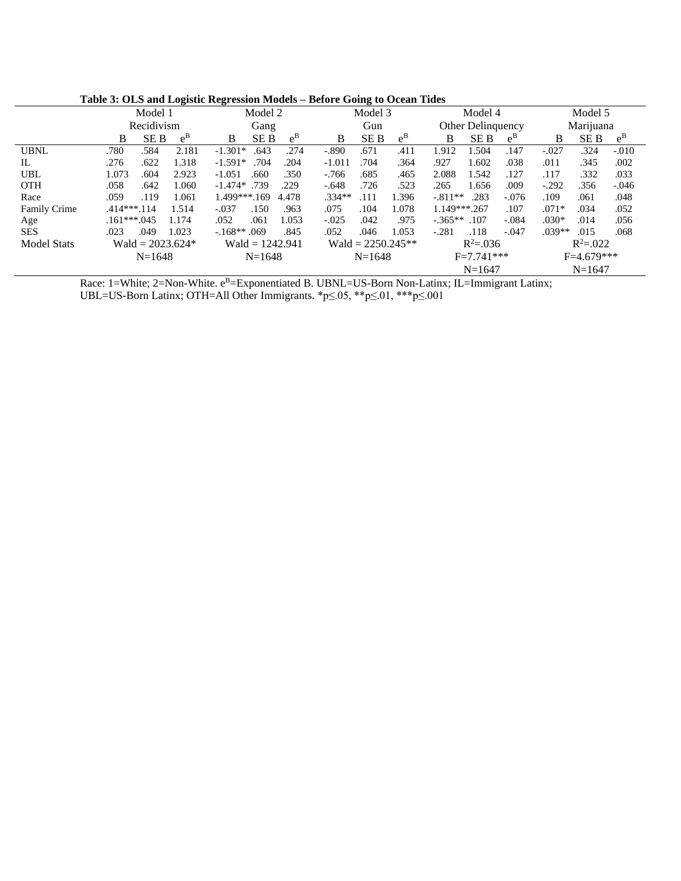|                     | $\sim$<br>Model 1          | $\overline{ }$<br>Model 2  | Model 3                    | Model 4                      | Model 5                    |
|---------------------|----------------------------|----------------------------|----------------------------|------------------------------|----------------------------|
|                     | Recidivism                 | Gang                       | Gun                        | Other Delinquency            | Marijuana                  |
|                     | $e^{B}$<br><b>SEB</b><br>B | $e^{B}$<br><b>SEB</b><br>B | $e^{B}$<br><b>SEB</b><br>B | $e^{B}$<br><b>SEB</b><br>B   | $e^{B}$<br><b>SEB</b><br>B |
| <b>UBNL</b>         | .780<br>2.181<br>.584      | .274<br>$-1.301*$<br>.643  | .671<br>$-.890$<br>.411    | 1.504<br>1.912<br>.147       | .324<br>$-.027$<br>$-.010$ |
| IL                  | 1.318<br>.622<br>.276      | $-1.591*$<br>.704<br>.204  | .364<br>$-1.011$<br>.704   | .927<br>1.602<br>.038        | .345<br>.002<br>.011       |
| <b>UBL</b>          | 1.073<br>.604<br>2.923     | .350<br>$-1.051$<br>.660   | .685<br>.465<br>$-766$     | 2.088<br>1.542<br>.127       | .332<br>.117<br>.033       |
| <b>OTH</b>          | .058<br>.642<br>1.060      | $-1.474*$ .739<br>.229     | .523<br>$-.648$<br>.726    | .265<br>1.656<br>.009        | .356<br>$-.292$<br>$-.046$ |
| Race                | .059<br>.119<br>1.061      | 1.499***.169<br>4.478      | $.334**$<br>1.396<br>.111  | $-.811**$<br>.283<br>$-.076$ | .109<br>.061<br>.048       |
| <b>Family Crime</b> | $.414***.114$<br>1.514     | .963<br>$-.037$<br>.150    | 1.078<br>.075<br>.104      | 1.149***.267<br>.107         | $.071*$<br>.034<br>.052    |
| Age                 | 1.174<br>$.161***.045$     | .052<br>1.053<br>.061      | $-.025$<br>.042<br>.975    | $-.365**$ .107<br>$-.084$    | $.030*$<br>.014<br>.056    |
| <b>SES</b>          | 1.023<br>.023<br>.049      | $-168**.069$<br>.845       | 1.053<br>.052<br>.046      | .118<br>$-.047$<br>$-.281$   | $.039**$<br>.015<br>.068   |
| <b>Model Stats</b>  | Wald = $2023.624*$         | Wald = $1242.941$          | Wald = $2250.245**$        | $R^2 = 0.036$                | $R^2 = 0.022$              |
|                     | $N=1648$                   | $N=1648$                   | $N=1648$                   | $F=7.741***$                 | $F=4.679***$               |
|                     |                            |                            |                            | $N=1647$                     | $N=1647$                   |

**Table 3: OLS and Logistic Regression Models – Before Going to Ocean Tides**

Race: 1=White; 2=Non-White. e<sup>B</sup>=Exponentiated B. UBNL=US-Born Non-Latinx; IL=Immigrant Latinx;

UBL=US-Born Latinx; OTH=All Other Immigrants. \*p≤.05, \*\*p≤.01, \*\*\*p≤.001